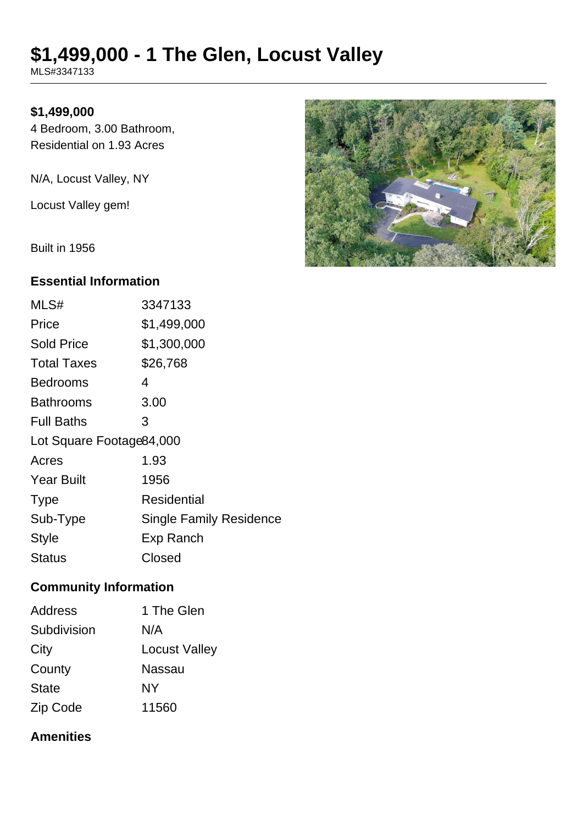# **\$1,499,000 - 1 The Glen, Locust Valley**

MLS#3347133

#### **\$1,499,000**

4 Bedroom, 3.00 Bathroom, Residential on 1.93 Acres

N/A, Locust Valley, NY

Locust Valley gem!

Built in 1956

#### **Essential Information**

| MLS#                      | 3347133                        |
|---------------------------|--------------------------------|
| Price                     | \$1,499,000                    |
| Sold Price                | \$1,300,000                    |
| <b>Total Taxes</b>        | \$26,768                       |
| Bedrooms                  | 4                              |
| <b>Bathrooms</b>          | 3.00                           |
| <b>Full Baths</b>         | 3                              |
| Lot Square Footage 84,000 |                                |
| Acres                     | 1.93                           |
| <b>Year Built</b>         | 1956                           |
| <b>Type</b>               | Residential                    |
| Sub-Type                  | <b>Single Family Residence</b> |
| <b>Style</b>              | Exp Ranch                      |
| Status                    | Closed                         |

## **Community Information**

| <b>Address</b> | 1 The Glen           |
|----------------|----------------------|
| Subdivision    | N/A                  |
| City           | <b>Locust Valley</b> |
| County         | <b>Nassau</b>        |
| <b>State</b>   | NΥ                   |
| Zip Code       | 11560                |

#### **Amenities**

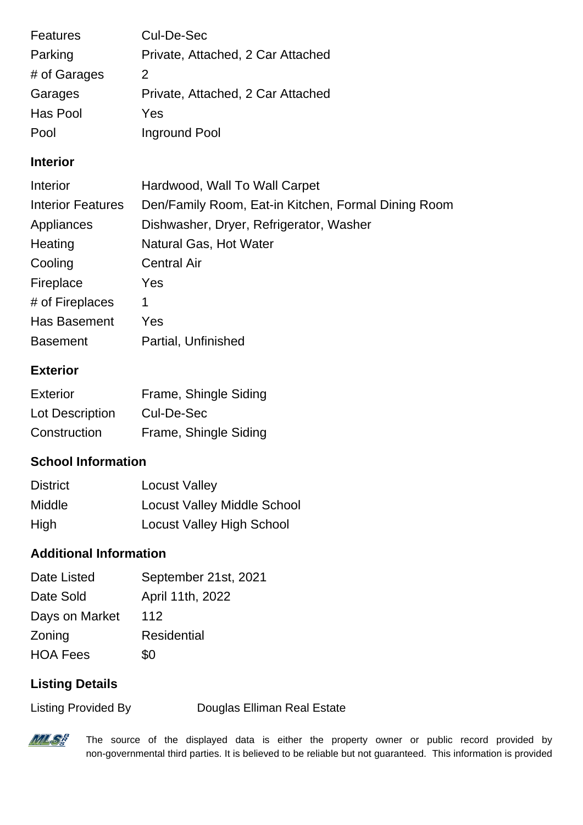| <b>Features</b> | Cul-De-Sec                        |
|-----------------|-----------------------------------|
| Parking         | Private, Attached, 2 Car Attached |
| # of Garages    | 2                                 |
| Garages         | Private, Attached, 2 Car Attached |
| Has Pool        | Yes                               |
| Pool            | Inground Pool                     |

#### **Interior**

| Interior                 | Hardwood, Wall To Wall Carpet                       |
|--------------------------|-----------------------------------------------------|
| <b>Interior Features</b> | Den/Family Room, Eat-in Kitchen, Formal Dining Room |
| Appliances               | Dishwasher, Dryer, Refrigerator, Washer             |
| Heating                  | Natural Gas, Hot Water                              |
| Cooling                  | <b>Central Air</b>                                  |
| Fireplace                | Yes                                                 |
| # of Fireplaces          | 1                                                   |
| Has Basement             | Yes                                                 |
| <b>Basement</b>          | Partial, Unfinished                                 |

### **Exterior**

| Exterior        | Frame, Shingle Siding |
|-----------------|-----------------------|
| Lot Description | Cul-De-Sec            |
| Construction    | Frame, Shingle Siding |

## **School Information**

| <b>District</b> | <b>Locust Valley</b>               |
|-----------------|------------------------------------|
| <b>Middle</b>   | <b>Locust Valley Middle School</b> |
| High            | <b>Locust Valley High School</b>   |

## **Additional Information**

| Date Listed     | September 21st, 2021 |
|-----------------|----------------------|
| Date Sold       | April 11th, 2022     |
| Days on Market  | 112                  |
| Zoning          | <b>Residential</b>   |
| <b>HOA Fees</b> | \$0                  |

## **Listing Details**

Listing Provided By Douglas Elliman Real Estate



The source of the displayed data is either the property owner or public record provided by non-governmental third parties. It is believed to be reliable but not guaranteed. This information is provided